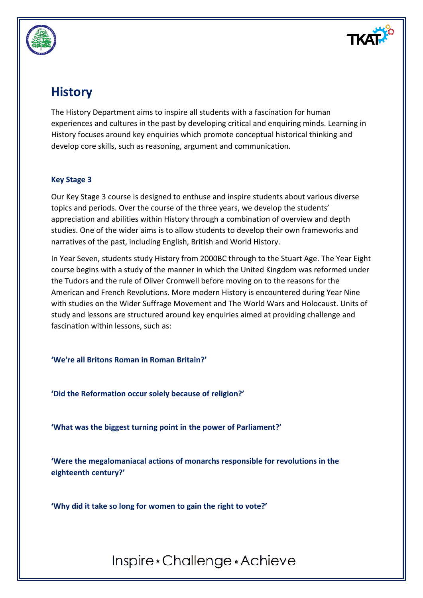

## **History**

The History Department aims to inspire all students with a fascination for human experiences and cultures in the past by developing critical and enquiring minds. Learning in History focuses around key enquiries which promote conceptual historical thinking and develop core skills, such as reasoning, argument and communication.

## **Key Stage 3**

Our Key Stage 3 course is designed to enthuse and inspire students about various diverse topics and periods. Over the course of the three years, we develop the students' appreciation and abilities within History through a combination of overview and depth studies. One of the wider aims is to allow students to develop their own frameworks and narratives of the past, including English, British and World History.

In Year Seven, students study History from 2000BC through to the Stuart Age. The Year Eight course begins with a study of the manner in which the United Kingdom was reformed under the Tudors and the rule of Oliver Cromwell before moving on to the reasons for the American and French Revolutions. More modern History is encountered during Year Nine with studies on the Wider Suffrage Movement and The World Wars and Holocaust. Units of study and lessons are structured around key enquiries aimed at providing challenge and fascination within lessons, such as:

**'We're all Britons Roman in Roman Britain?'**

**'Did the Reformation occur solely because of religion?'**

**'What was the biggest turning point in the power of Parliament?'**

**'Were the megalomaniacal actions of monarchs responsible for revolutions in the eighteenth century?'**

**'Why did it take so long for women to gain the right to vote?'**

Inspire \* Challenge \* Achieve